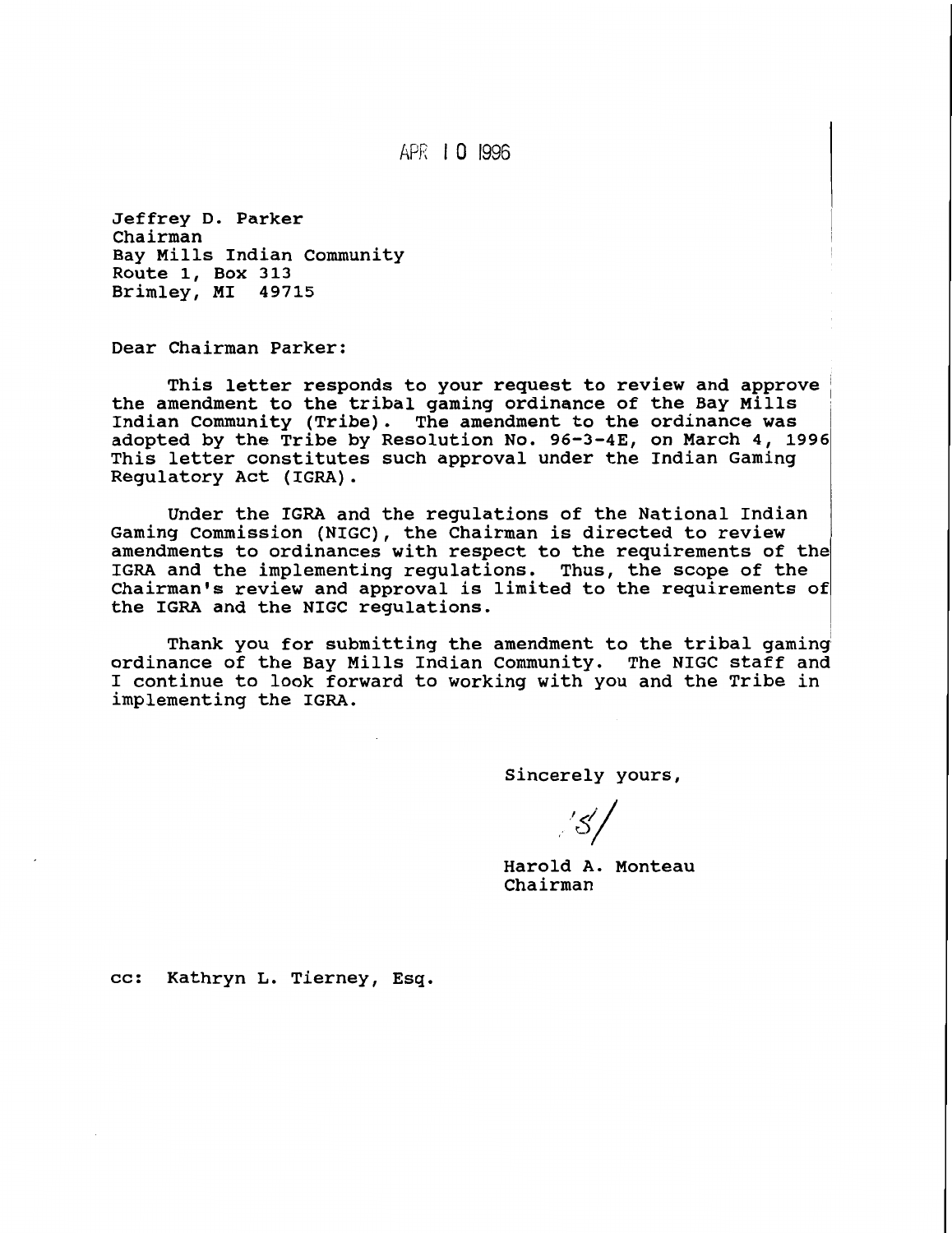APR 10 1996

**Jeffrey D. Parker Chairman Bay Mills Indian Community Route 1, Box 313 Brimley, MI 49715** 

**Dear Chairman Parker:** 

This letter responds to your request to review and approve the amendment to the tribal gaming ordinance of the Bay Mills **Indian Community (Tribe). The amendment to the ordinance was adopted by the Tribe by Resolution No. 96-3-43, on March 4, 1996 This letter constitutes such approval under the Indian Gaming Regulatory Act (IGRA)** .

**Under the IGRA and the regulations of the National Indian Gaming Commission (NIGC), the Chairman is directed to review amendments to ordinances with respect to the requirements of the IGRA and the implementing regulations. Thus, the scope of the Chairman's review and approval is limited to the requirements of the IGRA and the NIGC regulations.** 

**Thank you for submitting the amendment to the tribal gaming' ordinance of the Bay Mills Indian Community. The NIGC staff and I continue to look forward to working with you and the Tribe in implementing the IGRA.** 

**Sincerely yours,** 

'31

**Harold A. Monteau Chairman** 

**cc: Kathryn L. Tierney, Esq.**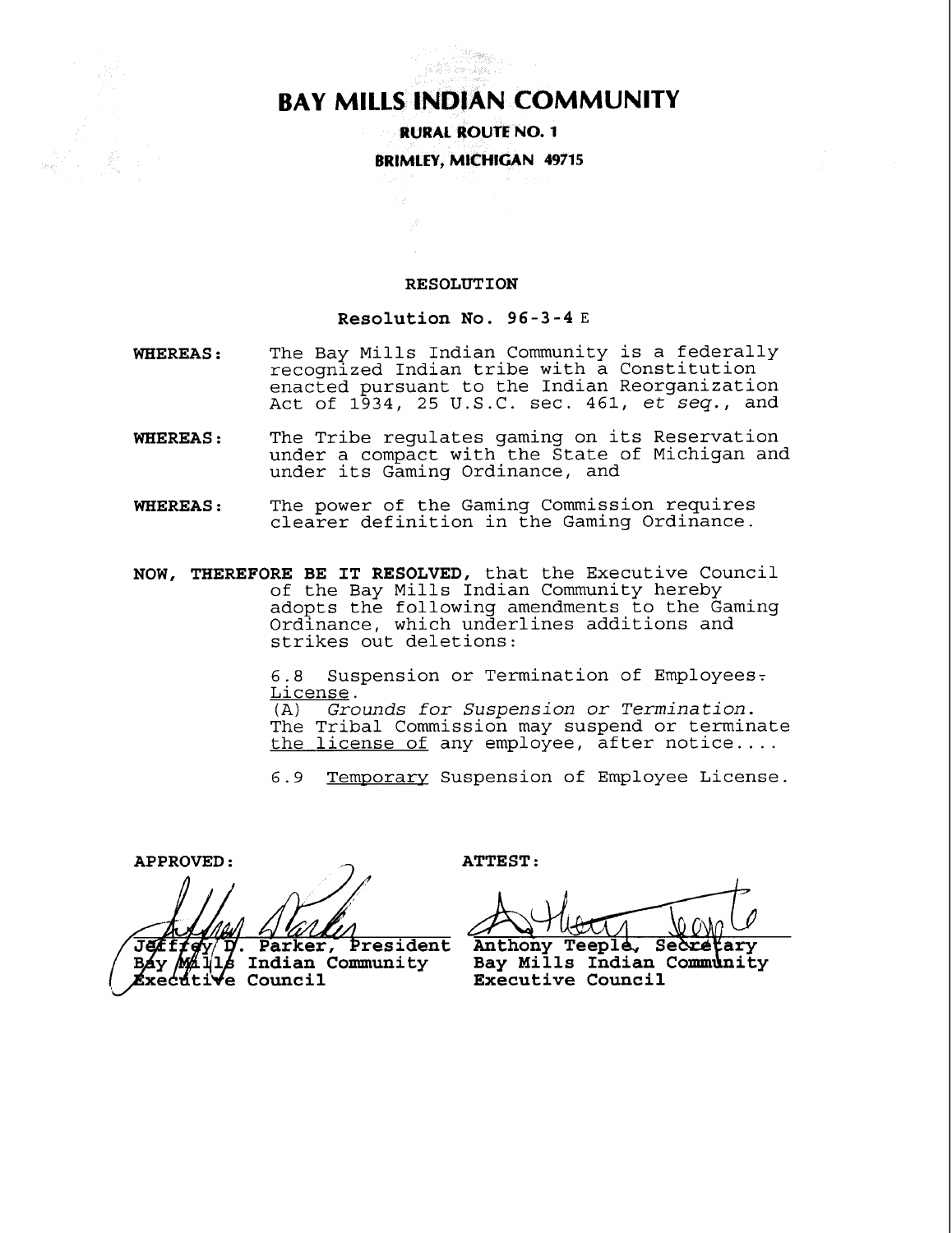# **BAY MILLS INDIAN COMMUNITY**

en<br>Statistik 

**RURAL ROUTE NO. 1 BRIMLEY, MtCHlGAN 49715** 

#### **RESOLUTION**

#### **Resolution No. 96-3-4 E**

- **WHEREAS** : The Bay Mills Indian Community is a federally recognized Indian tribe with a Constitution enacted pursuant to the Indian Reorganization Act of 1934, 25 U.S.C. sec. 461, et seq., and
- **WHEREAS** : The Tribe regulates gaming on its Reservation under a compact with the State of Michigan and under its Gaming Ordinance, and
- **WHEREAS** : The power of the Gaming Commission requires clearer definition in the Gaming Ordinance.
- **NOW, THEREFORE BE IT RESOLVED,** that the Executive Council of the Bay Mills Indian Community hereby adopts the following amendments to the Gaming Ordinance, which underlines additions and strikes out deletions:

6.8 Suspension or Termination of Employees.  $License.$ <br>(A) Gro

Grounds for Suspension or Termination. The Tribal Commission may suspend or terminate the license of any employee, after notice....

6.9 Temporary Suspension of Employee License.

**APPROVED** : **ATTEST** :

**Indian Community**<br> **MANIS** Indian Community<br> **MANIS** Council

Anthony Teeple, Secretary Bay Mills Indian Community **Executive Council**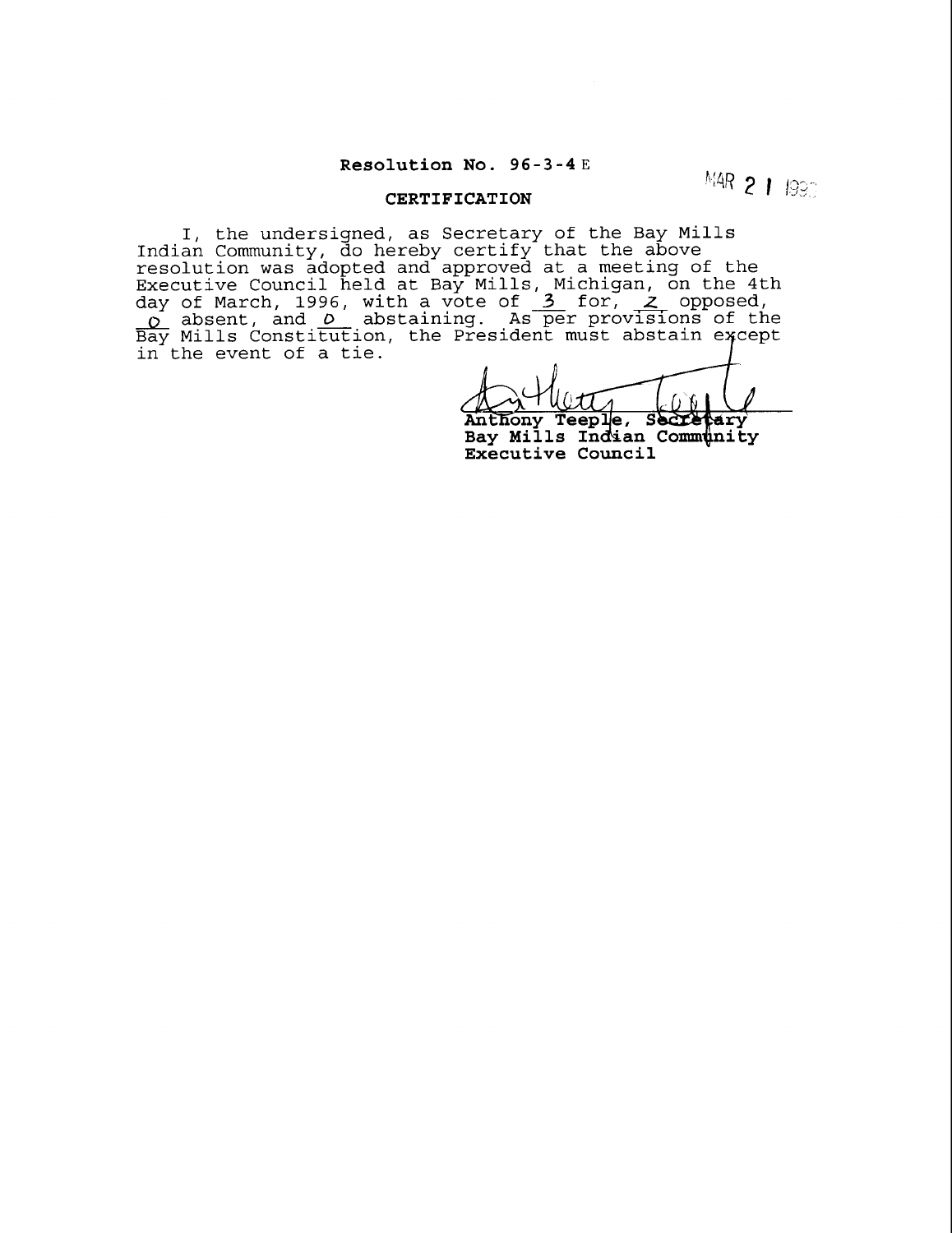## **Resolution No. 96-3-4E**

**MAR 2 1 1990** 

## **CERTIFICATION**

I, the undersigned, as Secretary of the Bay Mills Indian Community, do hereby certify that the above resolution was adopted and approved at a meeting of the Executive Council held at Bay Mills, Michigan, on the 4th resolution was adopted and approved at a meeting of the<br>Executive Council held at Bay Mills, Michigan, on the 4th<br>day of March, 1996, with a vote of <u>3</u> for, <u>2</u> opposed,<br><u>0</u> absent, and <u>0</u> abstaining. As per provisions o  $\overline{\mathtt{Bay}}$  Mills Constitution, the President must abstain except in the event of a tie.

Anthony Teeple, Secretary<br>Bay Mills Indian Community **larv Executive Council**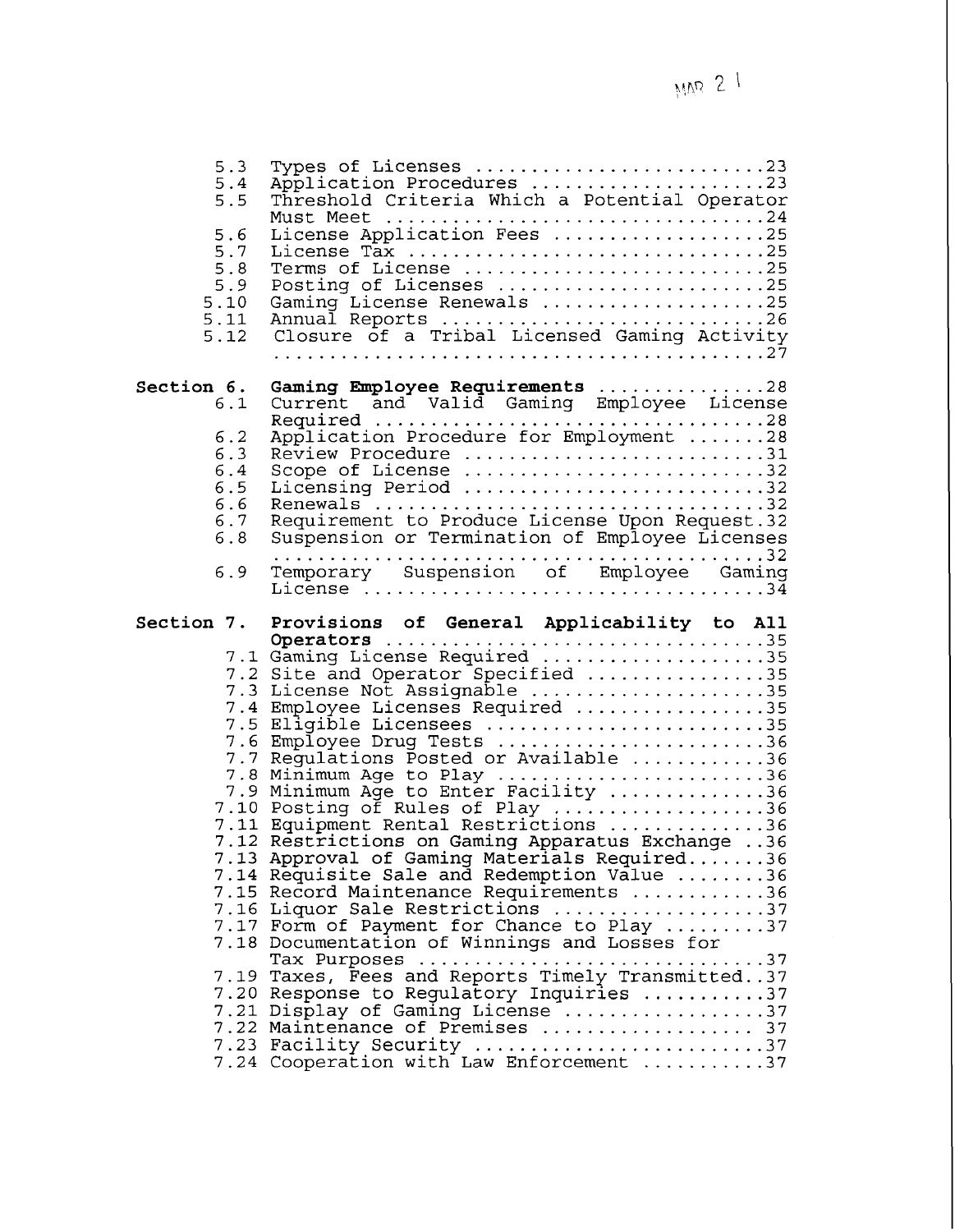| 5.3<br>5.4<br>5.5<br>5.6<br>5.7<br>5.8<br>5.9<br>5.10<br>5.11<br>5.12     | Types of Licenses 23<br>Application Procedures 23<br>Threshold Criteria Which a Potential Operator<br>License Application Fees 25<br>License Tax 25<br>Terms of License 25<br>Posting of Licenses 25<br>Gaming License Renewals 25<br>Annual Reports 26<br>Closure of a Tribal Licensed Gaming Activity                                                                                  |
|---------------------------------------------------------------------------|------------------------------------------------------------------------------------------------------------------------------------------------------------------------------------------------------------------------------------------------------------------------------------------------------------------------------------------------------------------------------------------|
| Section 6.<br>6.1<br>6.2<br>6.3<br>6.4<br>6.5<br>6.6<br>6.7<br>6.8<br>6.9 | Review Procedure 31<br>Scope of License 32<br>Licensing Period 32<br>Requirement to Produce License Upon Request.32<br>Suspension or Termination of Employee Licenses<br>Temporary Suspension of Employee Gaming                                                                                                                                                                         |
|                                                                           | Section 7. Provisions of General Applicability to All<br>7.2 Site and Operator Specified 35<br>7.3 License Not Assignable 35<br>7.4 Employee Licenses Required 35<br>7.5 Eligible Licensees 35<br>7.6 Employee Drug Tests 36                                                                                                                                                             |
|                                                                           | 7.7 Regulations Posted or Available 36<br>7.8 Minimum Age to Play 36<br>7.9 Minimum Age to Enter Facility 36<br>7.10 Posting of Rules of Play 36<br>7.11 Equipment Rental Restrictions 36<br>7.12 Restrictions on Gaming Apparatus Exchange 36<br>7.13 Approval of Gaming Materials Required36<br>7.14 Requisite Sale and Redemption Value 36<br>7.15 Record Maintenance Requirements 36 |
|                                                                           | 7.16 Liquor Sale Restrictions 37<br>7.17 Form of Payment for Chance to Play 37<br>7.18 Documentation of Winnings and Losses for<br>Tax Purposes 37<br>7.19 Taxes, Fees and Reports Timely Transmitted37<br>7.20 Response to Regulatory Inquiries 37<br>7.21 Display of Gaming License 37<br>7.22 Maintenance of Premises  37<br>7.23 Facility Security 37                                |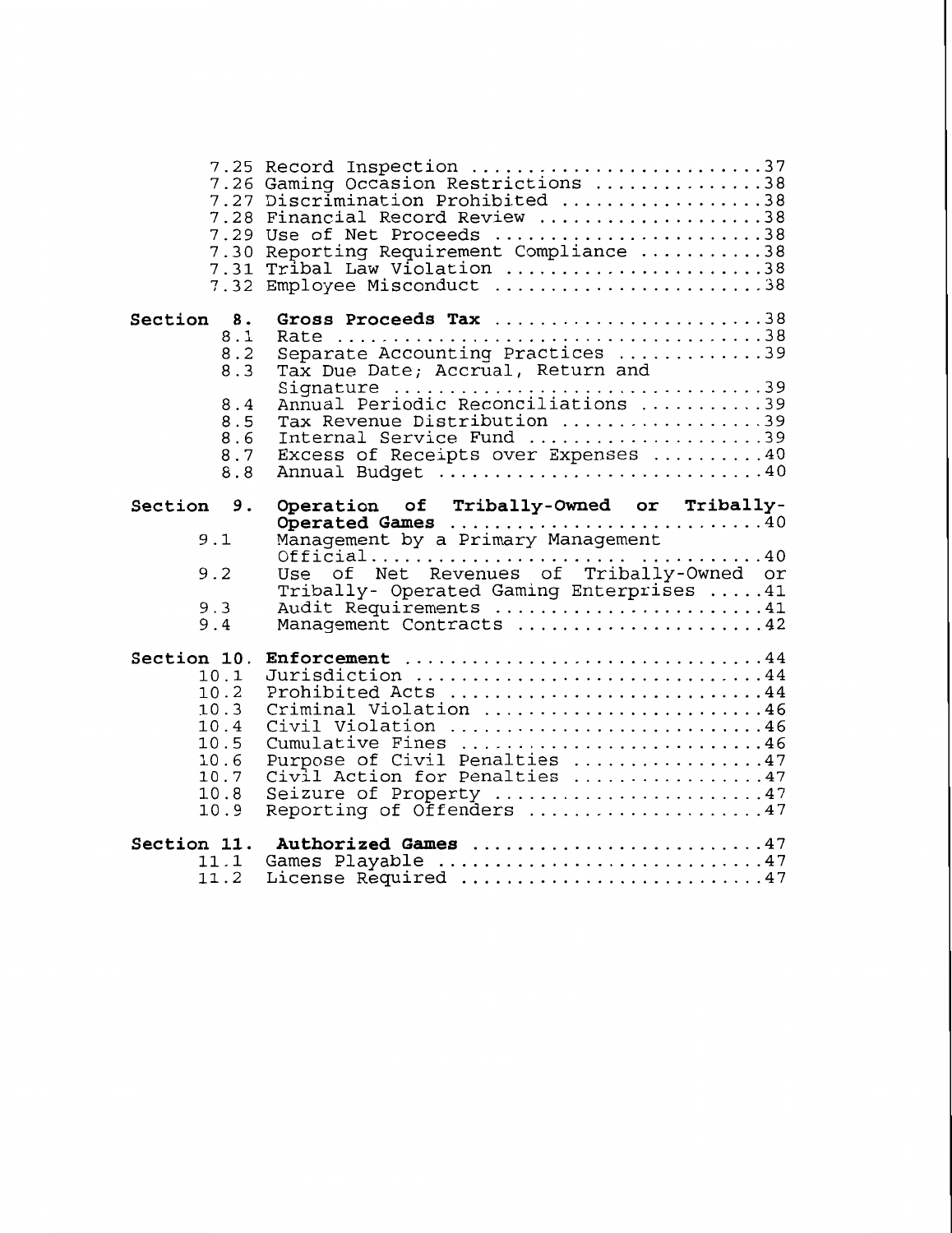| 7.30<br>7.31<br>7.32                   | 7.25 Record Inspection 37<br>7.26 Gaming Occasion Restrictions 38<br>7.27 Discrimination Prohibited 38<br>7.28 Financial Record Review 38<br>7.29 Use of Net Proceeds 38<br>Reporting Requirement Compliance 38<br>Tribal Law Violation 38<br>Employee Misconduct 38 |
|----------------------------------------|----------------------------------------------------------------------------------------------------------------------------------------------------------------------------------------------------------------------------------------------------------------------|
| Section 8.                             | Gross Proceeds Tax 38                                                                                                                                                                                                                                                |
| 8.1                                    |                                                                                                                                                                                                                                                                      |
| 8.2                                    | Separate Accounting Practices 39                                                                                                                                                                                                                                     |
| 8.3                                    | Tax Due Date; Accrual, Return and                                                                                                                                                                                                                                    |
| 8.4                                    | Signature 39<br>Annual Periodic Reconciliations 39                                                                                                                                                                                                                   |
| 8.5                                    | Tax Revenue Distribution 39                                                                                                                                                                                                                                          |
| 8.6                                    | Internal Service Fund 39                                                                                                                                                                                                                                             |
| 8.7                                    | Excess of Receipts over Expenses 40                                                                                                                                                                                                                                  |
| 8.8                                    | Annual Budget 40                                                                                                                                                                                                                                                     |
| Section 9.<br>9.1<br>9.2<br>9.3<br>9.4 | Operation of Tribally-Owned or Tribally-<br>Operated Games 40<br>Management by a Primary Management<br>Official40<br>Use of Net Revenues of Tribally-Owned or<br>Tribally- Operated Gaming Enterprises 41<br>Audit Requirements 41<br>Management Contracts 42        |
| Section 10.                            | Enforcement 44                                                                                                                                                                                                                                                       |
| 10.1                                   | Jurisdiction 44                                                                                                                                                                                                                                                      |
| 10.2                                   | Prohibited Acts 44                                                                                                                                                                                                                                                   |
| 10.3                                   | Criminal Violation 46                                                                                                                                                                                                                                                |
| 10.4                                   | Civil Violation 46                                                                                                                                                                                                                                                   |
| 10.5                                   | Cumulative Fines 46                                                                                                                                                                                                                                                  |
| 10.6                                   | Purpose of Civil Penalties 47                                                                                                                                                                                                                                        |
| 10.7                                   | Civil Action for Penalties 47                                                                                                                                                                                                                                        |
| 10.8                                   | Seizure of Property 47                                                                                                                                                                                                                                               |
| 10.9                                   | Reporting of Offenders 47                                                                                                                                                                                                                                            |
| Section 11.                            | Authorized Games 47                                                                                                                                                                                                                                                  |
| 11.1                                   | Games Playable 47                                                                                                                                                                                                                                                    |
| 11.2                                   | License Required 47                                                                                                                                                                                                                                                  |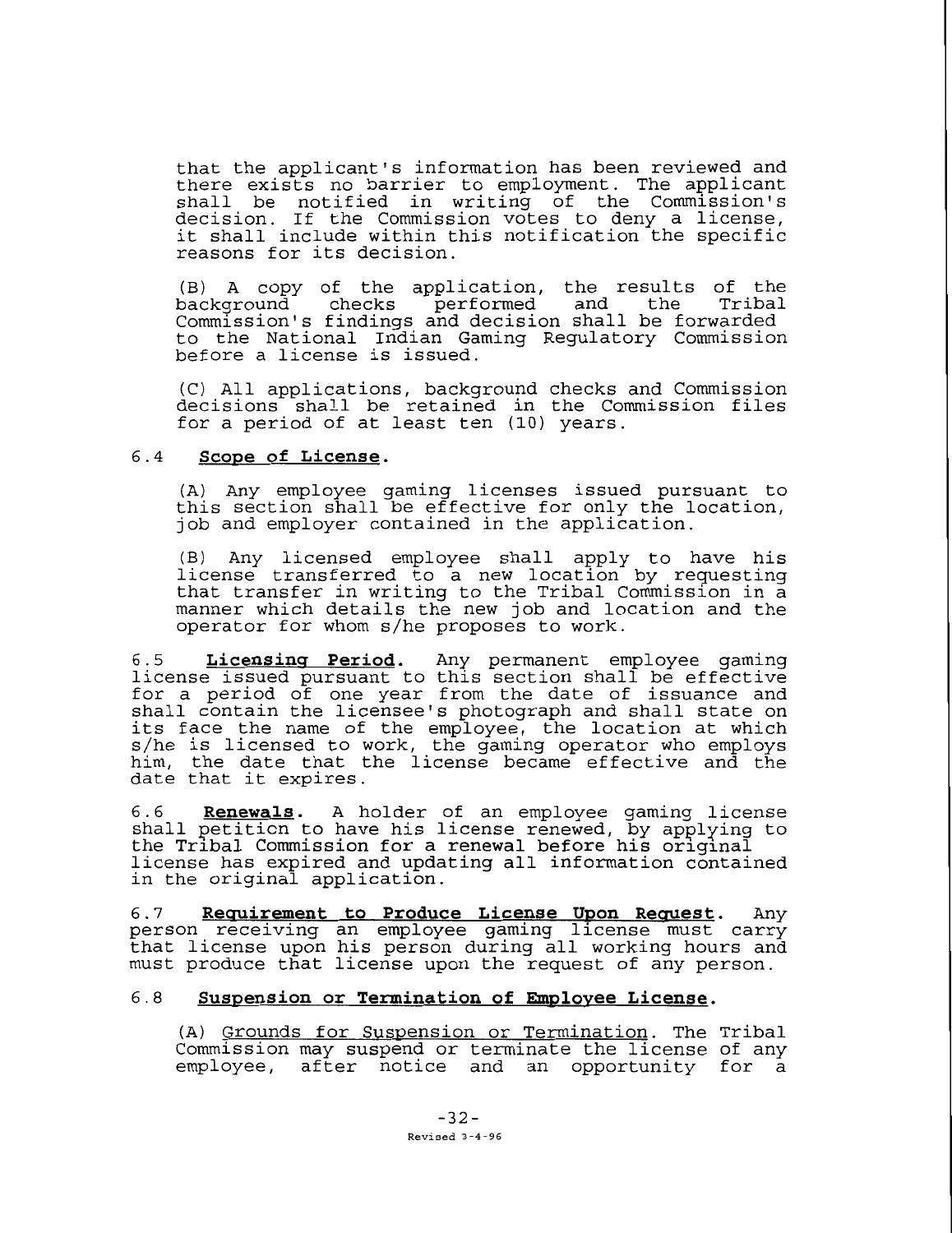that the applicant's information has been reviewed and there exists no barrier to employment. The applicant shall be notified in writing of the Commission's decision. If the Commission votes to deny a license, it shall include within this notification the specific reasons for its decision.

(B) A copy of the application, the results of the background checks performed and the Tribal Commission's findings and decision shall be forwarded to the National Indian Gaming Regulatory Commission before a license is issued.

(C) All applications, background checks and Commission decisions shall be retained in the Commission files for a period of at least ten (10) years.

### **6.4 Scope of License.**

(A) Any employee gaming licenses issued pursuant to this section shall be effective for only the location, job and employer contained in the application.

B) Any licensed employee shall apply to have his license transferred to a new location by requesting that transfer in writing to the Tribal Commission in a manner which details the new job and location and the operator for whom s/he proposes to work.

**6.5 Licensins Period.** Any permanent employee gaming license issued pursuant to this section shall be effective for a period of one year from the date of issuance and shall contain the licensee's photograph and shall state on its face the name of the employee, the location at which s/he is licensed to work, the gaming operator who employs him, the date that the license became effective and the date that it expires.

**6.6 Renewals.** A holder of an employee gaming license shall petition to have his license renewed, by applying to the Trlbal Commission for a renewal before hls orlglnal license has expired and updating all information contained in the original application.

**6.7 Requirement to Produce License Upon Request.** Any person receiving an employee gaming license must carry that license upon his person during all working hours and must produce that license upon the request of any person.

## 6.8 Suspension or Termination of Employee License.

(A) Grounds for Suspension or Termination. The Tribal Commission may suspend or terminate the license of any employee, after notice and an opportunity for a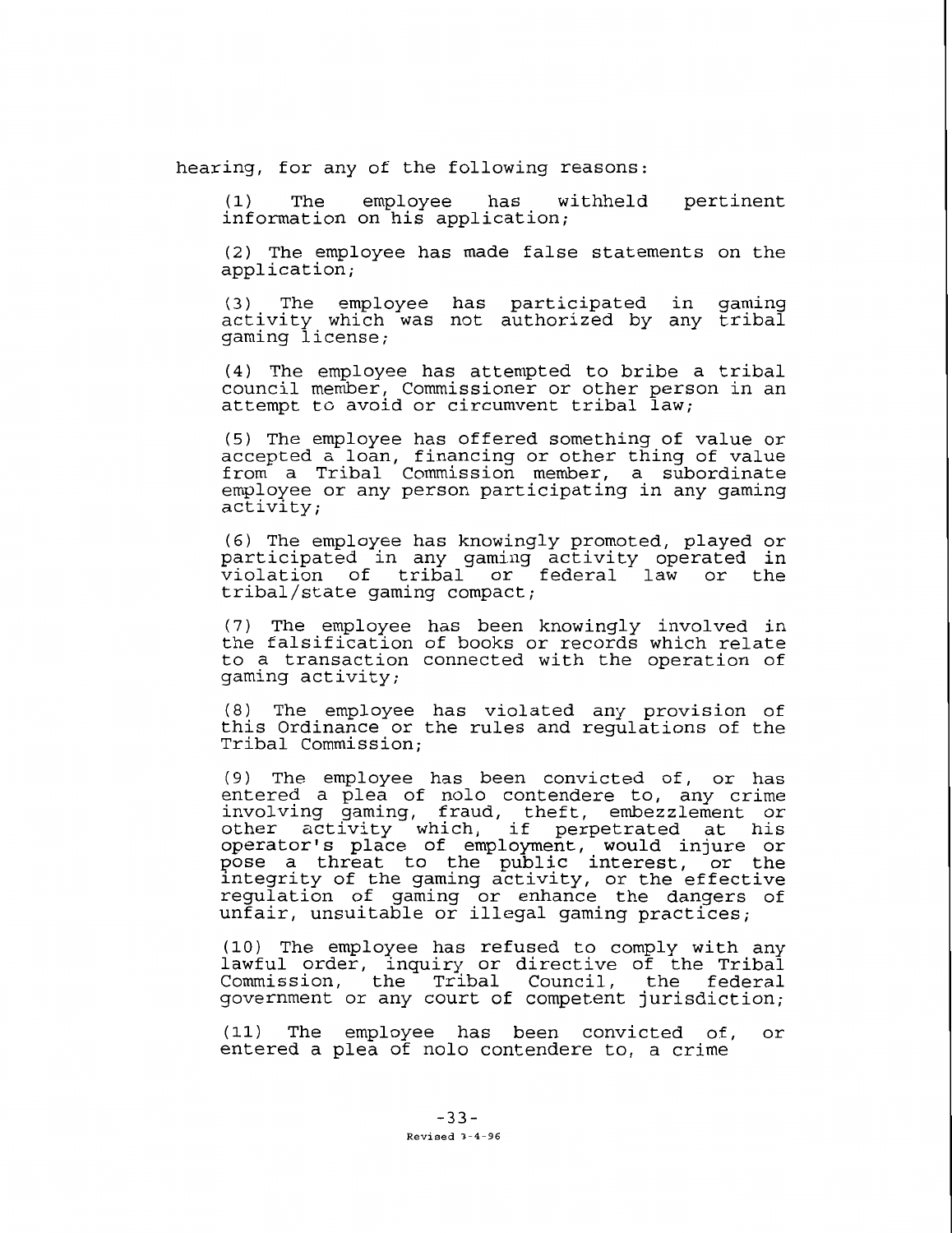hearing, for any of the following reasons:

(1) The employee has withheld pertinent information on his application;

(2) The employee has made false statements on the application;

(3) The employee has participated in gaming activity which was not authorized by any tribal gaming license;

(4) The employee has attempted to bribe a tribal council member, Commissioner or other person in an attempt to avoid or circumvent tribal law;

(5) The employee has offered something of value or accepted a loan, financing or other thing of value from a Tribal Commission member, a subordinate employee or any person participating in any gaming activity;

(6) The employee has knowingly promoted, played or participated in any gaming activity operated in violation of tribal or federal law or the tribal/state gaming compact;

(7) The employee has been knowingly involved in the falsification of books or records which relate to a transaction connected with the operation of gaming activity;

(8) The employee has violated any provision of this Ordinance or the rules and regulations of the Tribal Commission;

(9) The employee has been convicted of, or has entered a plea of nolo contendere to, any crime involving gaming, fraud, theft, embezzlement or other activity which, if perpetrated at his operator's place of employment, would injure or pose a threat to the public interest, or the integrity of the gaming activity, or the effective regulation of gaming or enhance the dangers of unfair, unsuitable or illegal gaming practices;

(10) The employee has refused to comply with any lawful order, inquiry or directive of the Tribal Commission, the Tribal Council, the federal government or any court of competent jurisdiction;

**(11)** The employee has been convicted of, or entered a plea of nolo contendere to, a crime